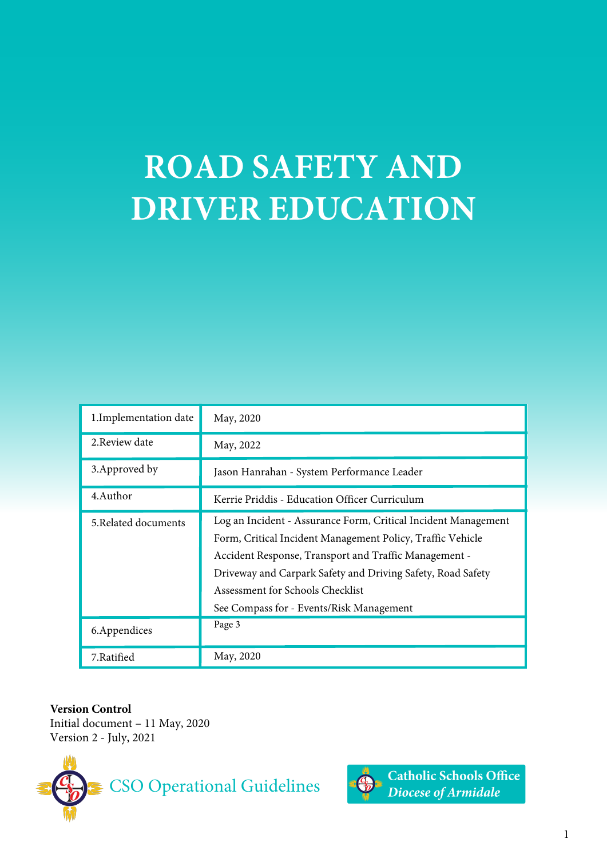# **ROAD SAFETY AND DRIVER EDUCATION**

| 1. Implementation date | May, 2020                                                                                                                                                                                                                                                                                                                            |
|------------------------|--------------------------------------------------------------------------------------------------------------------------------------------------------------------------------------------------------------------------------------------------------------------------------------------------------------------------------------|
| 2. Review date         | May, 2022                                                                                                                                                                                                                                                                                                                            |
| 3. Approved by         | Jason Hanrahan - System Performance Leader                                                                                                                                                                                                                                                                                           |
| 4.Author               | Kerrie Priddis - Education Officer Curriculum                                                                                                                                                                                                                                                                                        |
| 5. Related documents   | Log an Incident - Assurance Form, Critical Incident Management<br>Form, Critical Incident Management Policy, Traffic Vehicle<br>Accident Response, Transport and Traffic Management -<br>Driveway and Carpark Safety and Driving Safety, Road Safety<br>Assessment for Schools Checklist<br>See Compass for - Events/Risk Management |
| 6. Appendices          | Page 3                                                                                                                                                                                                                                                                                                                               |
| 7.Ratified             | May, 2020                                                                                                                                                                                                                                                                                                                            |

**Version Control** Initial document – 11 May, 2020 Version 2 - July, 2021





**Catholic Schools Office** Diocese of Armidale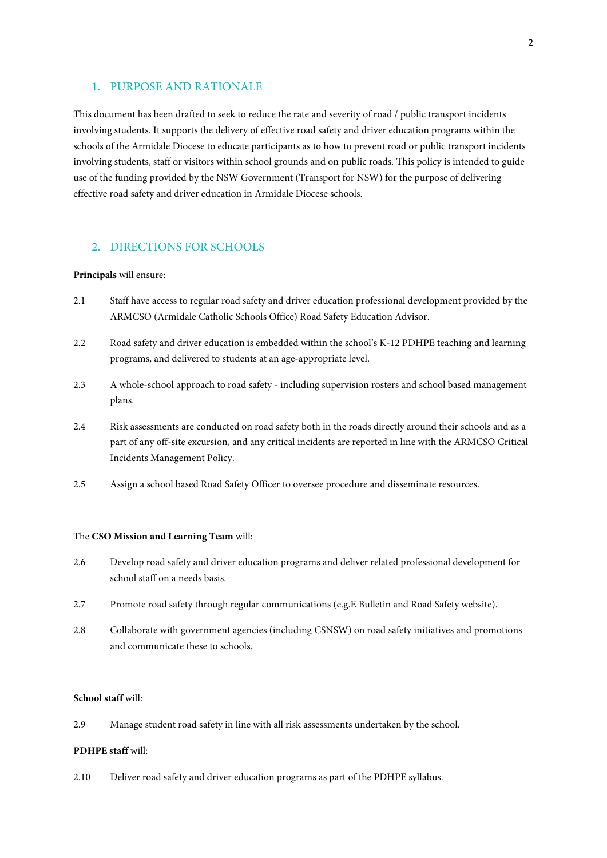## 1. PURPOSE AND RATIONALE

This document has been drafted to seek to reduce the rate and severity of road / public transport incidents involving students. It supports the delivery of effective road safety and driver education programs within the schools of the Armidale Diocese to educate participants as to how to prevent road or public transport incidents involving students, staff or visitors within school grounds and on public roads. This policy is intended to guide use of the funding provided by the NSW Government (Transport for NSW) for the purpose of delivering effective road safety and driver education in Armidale Diocese schools.

## 2. DIRECTIONS FOR SCHOOLS

#### **Principals** will ensure:

- 2.1 Staff have access to regular road safety and driver education professional development provided by the ARMCSO (Armidale Catholic Schools Office) Road Safety Education Advisor.
- 2.2 Road safety and driver education is embedded within the school's K-12 PDHPE teaching and learning programs, and delivered to students at an age-appropriate level.
- 2.3 A whole-school approach to road safety including supervision rosters and school based management plans.
- 2.4 Risk assessments are conducted on road safety both in the roads directly around their schools and as a part of any off-site excursion, and any critical incidents are reported in line with the ARMCSO Critical Incidents Management Policy.
- 2.5 Assign a school based Road Safety Officer to oversee procedure and disseminate resources.

#### The **CSO Mission and Learning Team** will:

- 2.6 Develop road safety and driver education programs and deliver related professional development for school staff on a needs basis.
- 2.7 Promote road safety through regular communications (e.g.E Bulletin and Road Safety website).
- 2.8 Collaborate with government agencies (including CSNSW) on road safety initiatives and promotions and communicate these to schools.

#### **School staff** will:

2.9 Manage student road safety in line with all risk assessments undertaken by the school.

#### **PDHPE staff** will:

2.10 Deliver road safety and driver education programs as part of the PDHPE syllabus.